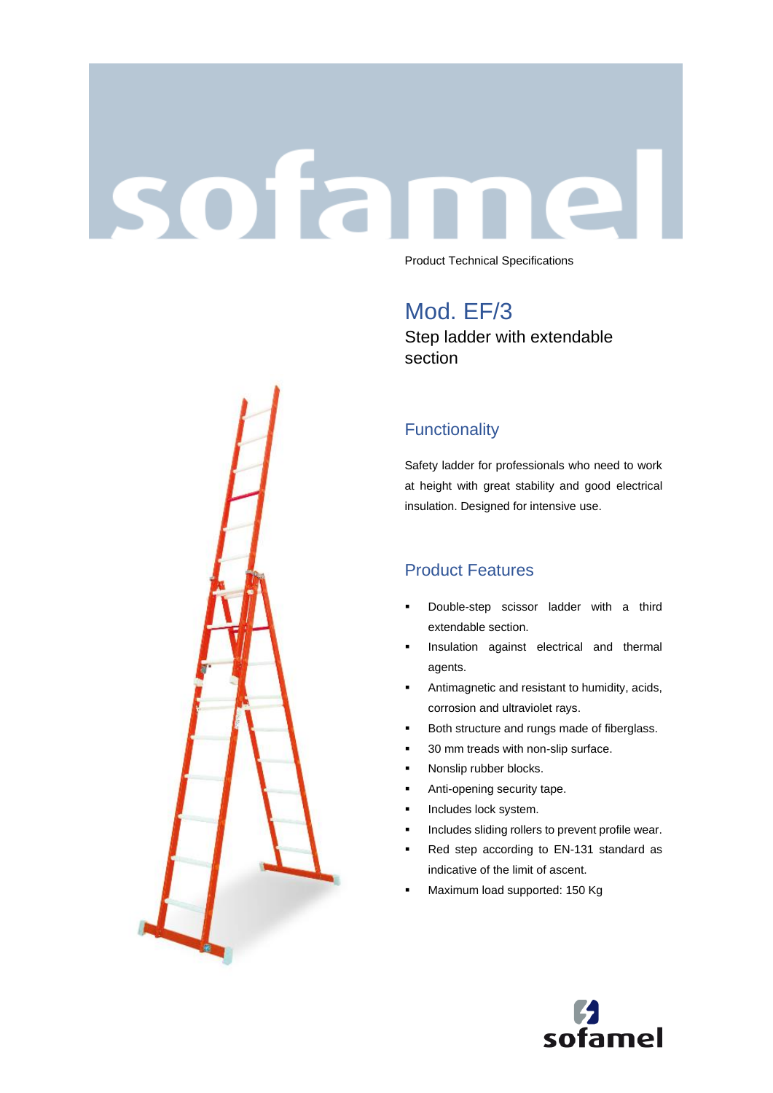# sofar Product Technical Specifications

Mod. EF/3 Step ladder with extendable section

# **Functionality**

Safety ladder for professionals who need to work at height with great stability and good electrical insulation. Designed for intensive use.

## Product Features

- Double-step scissor ladder with a third extendable section.
- Insulation against electrical and thermal agents.
- **■** Antimagnetic and resistant to humidity, acids, corrosion and ultraviolet rays.
- Both structure and rungs made of fiberglass.
- 30 mm treads with non-slip surface.
- Nonslip rubber blocks.
- Anti-opening security tape.
- **·** Includes lock system.
- Includes sliding rollers to prevent profile wear.
- Red step according to EN-131 standard as indicative of the limit of ascent.
- Maximum load supported: 150 Kg